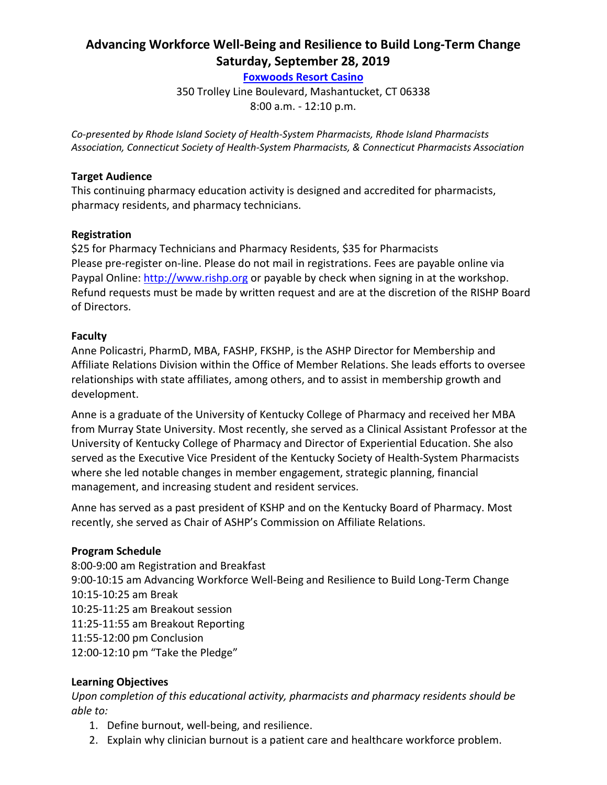# **Advancing Workforce Well-Being and Resilience to Build Long-Term Change Saturday, September 28, 2019**

**[Foxwoods Resort Casino](http://www.foxwoods.com/)**

350 Trolley Line Boulevard, Mashantucket, CT 06338

8:00 a.m. - 12:10 p.m.

*Co-presented by Rhode Island Society of Health-System Pharmacists, Rhode Island Pharmacists Association, Connecticut Society of Health-System Pharmacists, & Connecticut Pharmacists Association*

#### **Target Audience**

This continuing pharmacy education activity is designed and accredited for pharmacists, pharmacy residents, and pharmacy technicians.

### **Registration**

\$25 for Pharmacy Technicians and Pharmacy Residents, \$35 for Pharmacists Please pre-register on-line. Please do not mail in registrations. Fees are payable online via Paypal Online: [http://www.rishp.org](http://rishp.org/) or payable by check when signing in at the workshop. Refund requests must be made by written request and are at the discretion of the RISHP Board of Directors.

### **Faculty**

Anne Policastri, PharmD, MBA, FASHP, FKSHP, is the ASHP Director for Membership and Affiliate Relations Division within the Office of Member Relations. She leads efforts to oversee relationships with state affiliates, among others, and to assist in membership growth and development.

Anne is a graduate of the University of Kentucky College of Pharmacy and received her MBA from Murray State University. Most recently, she served as a Clinical Assistant Professor at the University of Kentucky College of Pharmacy and Director of Experiential Education. She also served as the Executive Vice President of the Kentucky Society of Health-System Pharmacists where she led notable changes in member engagement, strategic planning, financial management, and increasing student and resident services.

Anne has served as a past president of KSHP and on the Kentucky Board of Pharmacy. Most recently, she served as Chair of ASHP's Commission on Affiliate Relations.

#### **Program Schedule**

8:00-9:00 am Registration and Breakfast 9:00-10:15 am Advancing Workforce Well-Being and Resilience to Build Long-Term Change 10:15-10:25 am Break 10:25-11:25 am Breakout session 11:25-11:55 am Breakout Reporting 11:55-12:00 pm Conclusion 12:00-12:10 pm "Take the Pledge"

### **Learning Objectives**

*Upon completion of this educational activity, pharmacists and pharmacy residents should be able to:*

- 1. Define burnout, well-being, and resilience.
- 2. Explain why clinician burnout is a patient care and healthcare workforce problem.